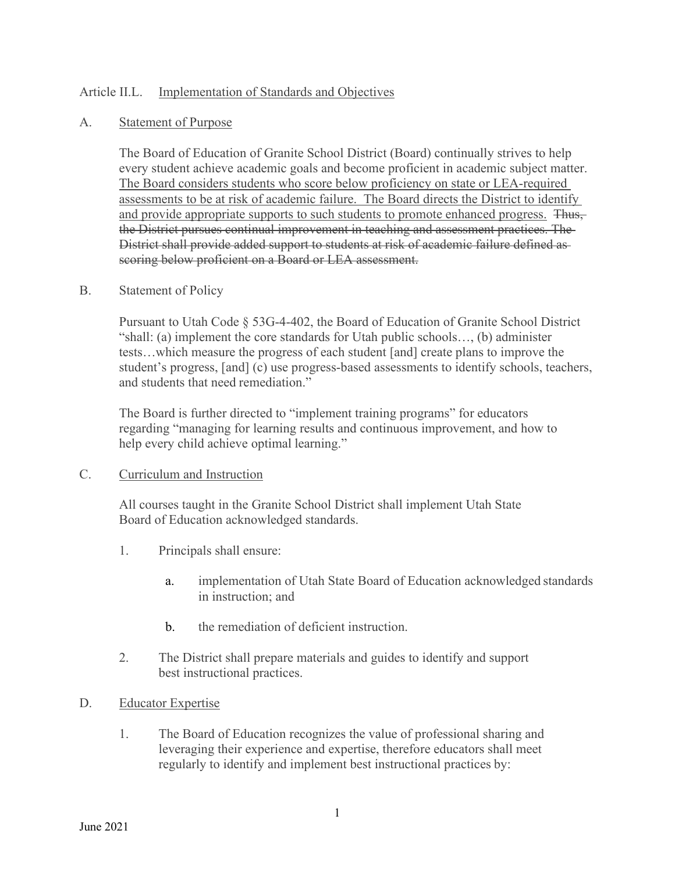## Article II.L. Implementation of Standards and Objectives

### A. Statement of Purpose

The Board of Education of Granite School District (Board) continually strives to help every student achieve academic goals and become proficient in academic subject matter. The Board considers students who score below proficiency on state or LEA-required assessments to be at risk of academic failure. The Board directs the District to identify and provide appropriate supports to such students to promote enhanced progress. Thus, the District pursues continual improvement in teaching and assessment practices. The District shall provide added support to students at risk of academic failure defined as scoring below proficient on a Board or LEA assessment.

## B. Statement of Policy

Pursuant to Utah Code § 53G-4-402, the Board of Education of Granite School District "shall: (a) implement the core standards for Utah public schools…, (b) administer tests…which measure the progress of each student [and] create plans to improve the student's progress, [and] (c) use progress-based assessments to identify schools, teachers, and students that need remediation."

The Board is further directed to "implement training programs" for educators regarding "managing for learning results and continuous improvement, and how to help every child achieve optimal learning."

### C. Curriculum and Instruction

All courses taught in the Granite School District shall implement Utah State Board of Education acknowledged standards.

- 1. Principals shall ensure:
	- a. implementation of Utah State Board of Education acknowledged standards in instruction; and
	- b. the remediation of deficient instruction.
- 2. The District shall prepare materials and guides to identify and support best instructional practices.
- D. Educator Expertise
	- 1. The Board of Education recognizes the value of professional sharing and leveraging their experience and expertise, therefore educators shall meet regularly to identify and implement best instructional practices by: